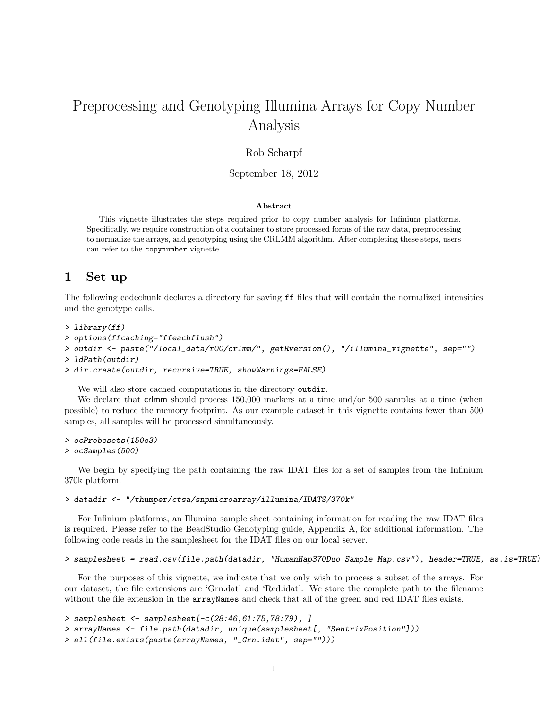# Preprocessing and Genotyping Illumina Arrays for Copy Number Analysis

### Rob Scharpf

### September 18, 2012

### Abstract

This vignette illustrates the steps required prior to copy number analysis for Infinium platforms. Specifically, we require construction of a container to store processed forms of the raw data, preprocessing to normalize the arrays, and genotyping using the CRLMM algorithm. After completing these steps, users can refer to the copynumber vignette.

### 1 Set up

The following codechunk declares a directory for saving ff files that will contain the normalized intensities and the genotype calls.

```
> library(ff)
```

```
> options(ffcaching="ffeachflush")
```

```
> outdir <- paste("/local_data/r00/crlmm/", getRversion(), "/illumina_vignette", sep="")
```

```
> ldPath(outdir)
```

```
> dir.create(outdir, recursive=TRUE, showWarnings=FALSE)
```
We will also store cached computations in the directory outdir.

We declare that crlmm should process 150,000 markers at a time and/or 500 samples at a time (when possible) to reduce the memory footprint. As our example dataset in this vignette contains fewer than 500 samples, all samples will be processed simultaneously.

```
> ocProbesets(150e3)
```
#### > ocSamples(500)

We begin by specifying the path containing the raw IDAT files for a set of samples from the Infinium 370k platform.

> datadir <- "/thumper/ctsa/snpmicroarray/illumina/IDATS/370k"

For Infinium platforms, an Illumina sample sheet containing information for reading the raw IDAT files is required. Please refer to the BeadStudio Genotyping guide, Appendix A, for additional information. The following code reads in the samplesheet for the IDAT files on our local server.

```
> samplesheet = read.csv(file.path(datadir, "HumanHap370Duo_Sample_Map.csv"), header=TRUE, as.is=TRUE)
```
For the purposes of this vignette, we indicate that we only wish to process a subset of the arrays. For our dataset, the file extensions are 'Grn.dat' and 'Red.idat'. We store the complete path to the filename without the file extension in the arrayNames and check that all of the green and red IDAT files exists.

```
> samplesheet <- samplesheet[-c(28:46,61:75,78:79), ]
> arrayNames <- file.path(datadir, unique(samplesheet[, "SentrixPosition"]))
> all(file.exists(paste(arrayNames, "_Grn.idat", sep="")))
```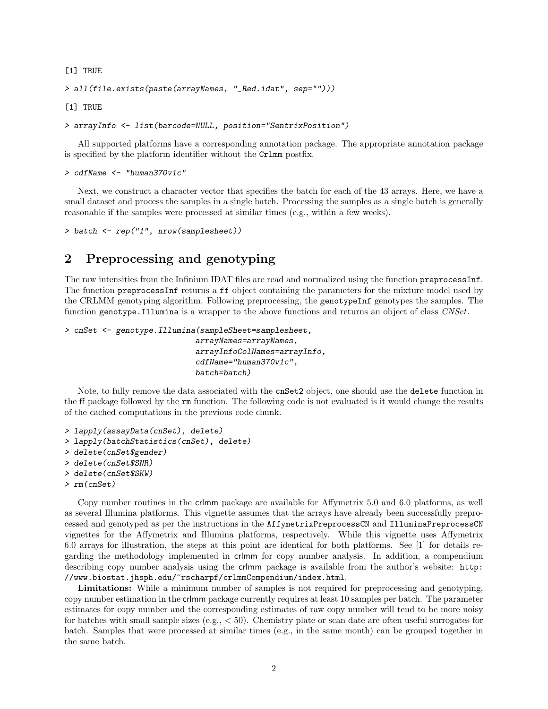[1] TRUE

```
> all(file.exists(paste(arrayNames, "_Red.idat", sep="")))
```
[1] TRUE

```
> arrayInfo <- list(barcode=NULL, position="SentrixPosition")
```
All supported platforms have a corresponding annotation package. The appropriate annotation package is specified by the platform identifier without the Crlmm postfix.

```
> cdfName <- "human370v1c"
```
Next, we construct a character vector that specifies the batch for each of the 43 arrays. Here, we have a small dataset and process the samples in a single batch. Processing the samples as a single batch is generally reasonable if the samples were processed at similar times (e.g., within a few weeks).

```
> batch <- rep("1", nrow(samplesheet))
```
### 2 Preprocessing and genotyping

The raw intensities from the Infinium IDAT files are read and normalized using the function preprocessInf. The function preprocessInf returns a ff object containing the parameters for the mixture model used by the CRLMM genotyping algorithm. Following preprocessing, the genotypeInf genotypes the samples. The function genotype. Illumina is a wrapper to the above functions and returns an object of class CNSet.

```
> cnSet <- genotype.Illumina(sampleSheet=samplesheet,
                            arrayNames=arrayNames,
```
arrayInfoColNames=arrayInfo, cdfName="human370v1c", batch=batch)

Note, to fully remove the data associated with the cnSet2 object, one should use the delete function in the ff package followed by the rm function. The following code is not evaluated is it would change the results of the cached computations in the previous code chunk.

```
> lapply(assayData(cnSet), delete)
> lapply(batchStatistics(cnSet), delete)
> delete(cnSet$gender)
> delete(cnSet$SNR)
> delete(cnSet$SKW)
```

```
> rm(cnSet)
```
Copy number routines in the crlmm package are available for Affymetrix 5.0 and 6.0 platforms, as well as several Illumina platforms. This vignette assumes that the arrays have already been successfully preprocessed and genotyped as per the instructions in the AffymetrixPreprocessCN and IlluminaPreprocessCN vignettes for the Affymetrix and Illumina platforms, respectively. While this vignette uses Affymetrix 6.0 arrays for illustration, the steps at this point are identical for both platforms. See [1] for details regarding the methodology implemented in crlmm for copy number analysis. In addition, a compendium describing copy number analysis using the crlmm package is available from the author's website: http: //www.biostat.jhsph.edu/~rscharpf/crlmmCompendium/index.html.

Limitations: While a minimum number of samples is not required for preprocessing and genotyping, copy number estimation in the crlmm package currently requires at least 10 samples per batch. The parameter estimates for copy number and the corresponding estimates of raw copy number will tend to be more noisy for batches with small sample sizes (e.g., < 50). Chemistry plate or scan date are often useful surrogates for batch. Samples that were processed at similar times (e.g., in the same month) can be grouped together in the same batch.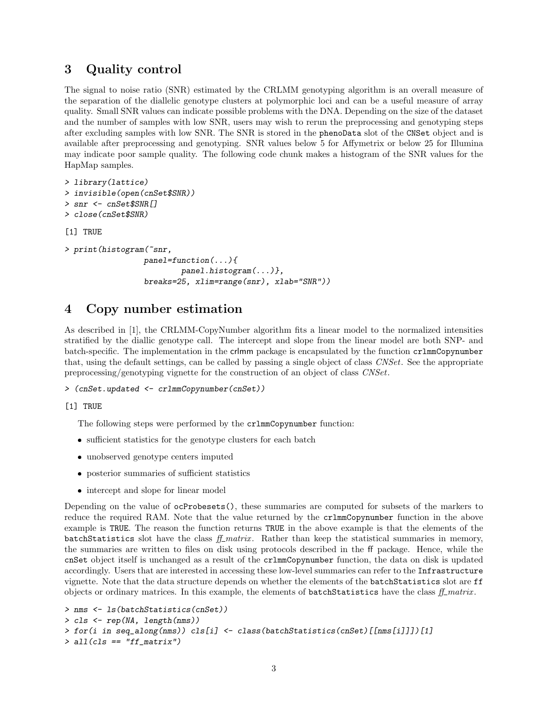### 3 Quality control

The signal to noise ratio (SNR) estimated by the CRLMM genotyping algorithm is an overall measure of the separation of the diallelic genotype clusters at polymorphic loci and can be a useful measure of array quality. Small SNR values can indicate possible problems with the DNA. Depending on the size of the dataset and the number of samples with low SNR, users may wish to rerun the preprocessing and genotyping steps after excluding samples with low SNR. The SNR is stored in the phenoData slot of the CNSet object and is available after preprocessing and genotyping. SNR values below 5 for Affymetrix or below 25 for Illumina may indicate poor sample quality. The following code chunk makes a histogram of the SNR values for the HapMap samples.

```
> library(lattice)
> invisible(open(cnSet$SNR))
> snr <- cnSet$SNR[]
> close(cnSet$SNR)
[1] TRUE
> print(histogram(~snr,
                 panel=function(...){
                         panel.histogram(...)},
                 breaks=25, xlim=range(snr), xlab="SNR"))
```
## 4 Copy number estimation

As described in [1], the CRLMM-CopyNumber algorithm fits a linear model to the normalized intensities stratified by the diallic genotype call. The intercept and slope from the linear model are both SNP- and batch-specific. The implementation in the crlmm package is encapsulated by the function crlmmCopynumber that, using the default settings, can be called by passing a single object of class CNSet. See the appropriate preprocessing/genotyping vignette for the construction of an object of class CNSet.

```
> (cnSet.updated <- crlmmCopynumber(cnSet))
```
[1] TRUE

The following steps were performed by the crlmmCopynumber function:

- $\bullet\,$  sufficient statistics for the genotype clusters for each batch
- unobserved genotype centers imputed
- posterior summaries of sufficient statistics
- intercept and slope for linear model

Depending on the value of ocProbesets(), these summaries are computed for subsets of the markers to reduce the required RAM. Note that the value returned by the crlmmCopynumber function in the above example is TRUE. The reason the function returns TRUE in the above example is that the elements of the batchStatistics slot have the class  $f_{\perp}$  matrix. Rather than keep the statistical summaries in memory, the summaries are written to files on disk using protocols described in the ff package. Hence, while the cnSet object itself is unchanged as a result of the crlmmCopynumber function, the data on disk is updated accordingly. Users that are interested in accessing these low-level summaries can refer to the Infrastructure vignette. Note that the data structure depends on whether the elements of the batchStatistics slot are ff objects or ordinary matrices. In this example, the elements of **batchStatistics** have the class  $ff\_matrix$ .

```
> nms <- ls(batchStatistics(cnSet))
> cls <- rep(NA, length(nms))
> for(i in seq_along(nms)) cls[i] <- class(batchStatistics(cnSet)[[nms[i]]])[1]
> all(cls == "ff_matrix")
```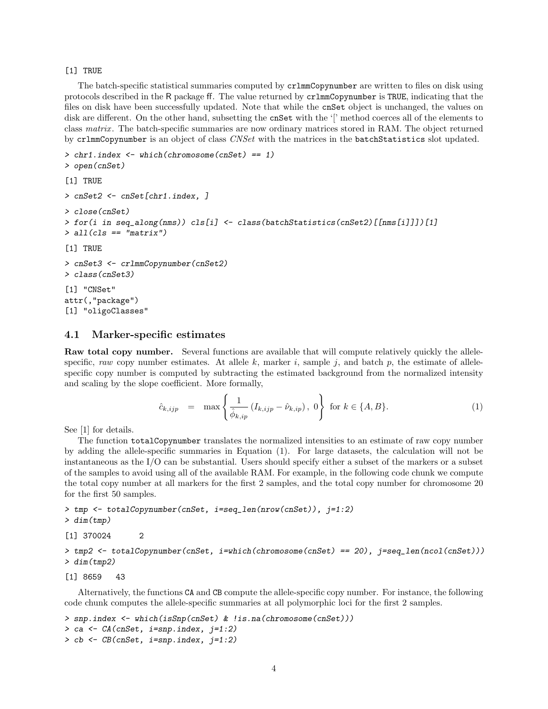#### [1] TRUE

The batch-specific statistical summaries computed by crlmmCopynumber are written to files on disk using protocols described in the R package ff. The value returned by crlmmCopynumber is TRUE, indicating that the files on disk have been successfully updated. Note that while the cnSet object is unchanged, the values on disk are different. On the other hand, subsetting the cnSet with the '[' method coerces all of the elements to class matrix . The batch-specific summaries are now ordinary matrices stored in RAM. The object returned by crlmmCopynumber is an object of class *CNSet* with the matrices in the **batchStatistics** slot updated.

```
> chr1.index <- which(chromosome(cnSet) == 1)
> open(cnSet)
[1] TRUE
> cnSet2 <- cnSet[chr1.index, ]
> close(cnSet)
> for(i in seq_along(nms)) cls[i] <- class(batchStatistics(cnSet2)[[nms[i]]])[1]
> all(cls == "matrix")
[1] TRUE
> cnSet3 <- crlmmCopynumber(cnSet2)
> class(cnSet3)
[1] "CNSet"
attr(,"package")
[1] "oligoClasses"
```
### 4.1 Marker-specific estimates

Raw total copy number. Several functions are available that will compute relatively quickly the allelespecific, raw copy number estimates. At allele k, marker i, sample j, and batch p, the estimate of allelespecific copy number is computed by subtracting the estimated background from the normalized intensity and scaling by the slope coefficient. More formally,

$$
\hat{c}_{k,ijp} = \max \left\{ \frac{1}{\hat{\phi}_{k,ip}} \left( I_{k,ijp} - \hat{\nu}_{k,ip} \right), \ 0 \right\} \text{ for } k \in \{A, B\}. \tag{1}
$$

See [1] for details.

The function totalCopynumber translates the normalized intensities to an estimate of raw copy number by adding the allele-specific summaries in Equation (1). For large datasets, the calculation will not be instantaneous as the I/O can be substantial. Users should specify either a subset of the markers or a subset of the samples to avoid using all of the available RAM. For example, in the following code chunk we compute the total copy number at all markers for the first 2 samples, and the total copy number for chromosome 20 for the first 50 samples.

```
> tmp <- totalCopynumber(cnSet, i=seq_len(nrow(cnSet)), j=1:2)
```

```
> dim(tmp)
```
[1] 370024 2

> tmp2 <- totalCopynumber(cnSet, i=which(chromosome(cnSet) == 20), j=seq\_len(ncol(cnSet))) > dim(tmp2)

[1] 8659 43

Alternatively, the functions CA and CB compute the allele-specific copy number. For instance, the following code chunk computes the allele-specific summaries at all polymorphic loci for the first 2 samples.

```
> snp.index <- which(isSnp(cnSet) & !is.na(chromosome(cnSet)))
> ca <- CA(cnSet, i=snp.index, j=1:2)
> cb <- CB(cnSet, i=snp.index, j=1:2)
```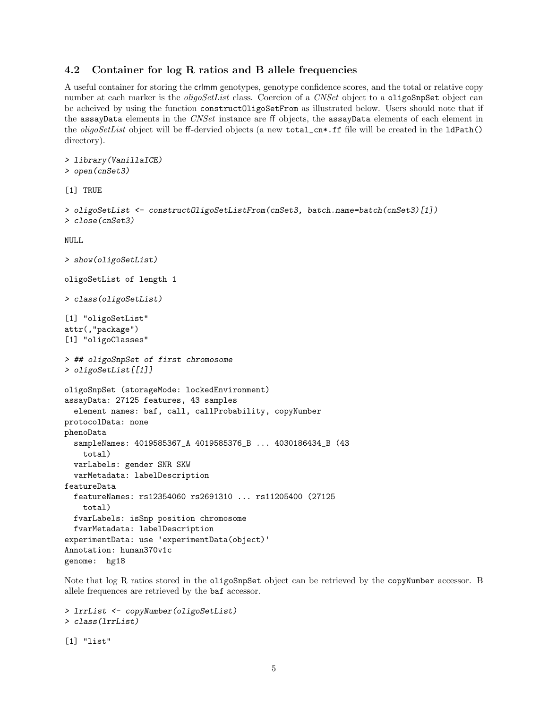### 4.2 Container for log R ratios and B allele frequencies

A useful container for storing the crlmm genotypes, genotype confidence scores, and the total or relative copy number at each marker is the *oligoSetList* class. Coercion of a CNSet object to a oligoSnpSet object can be acheived by using the function constructOligoSetFrom as illustrated below. Users should note that if the assayData elements in the CNSet instance are ff objects, the assayData elements of each element in the *oligoSetList* object will be ff-dervied objects (a new total\_cn\*.ff file will be created in the ldPath() directory).

```
> library(VanillaICE)
> open(cnSet3)
[1] TRUE
> oligoSetList <- constructOligoSetListFrom(cnSet3, batch.name=batch(cnSet3)[1])
> close(cnSet3)
NULL.
> show(oligoSetList)
oligoSetList of length 1
> class(oligoSetList)
[1] "oligoSetList"
attr(,"package")
[1] "oligoClasses"
> ## oligoSnpSet of first chromosome
> oligoSetList[[1]]
oligoSnpSet (storageMode: lockedEnvironment)
assayData: 27125 features, 43 samples
  element names: baf, call, callProbability, copyNumber
protocolData: none
phenoData
  sampleNames: 4019585367_A 4019585376_B ... 4030186434_B (43
    total)
  varLabels: gender SNR SKW
  varMetadata: labelDescription
featureData
  featureNames: rs12354060 rs2691310 ... rs11205400 (27125
    total)
  fvarLabels: isSnp position chromosome
  fvarMetadata: labelDescription
experimentData: use 'experimentData(object)'
Annotation: human370v1c
genome: hg18
```
Note that log R ratios stored in the oligoSnpSet object can be retrieved by the copyNumber accessor. B allele frequences are retrieved by the baf accessor.

```
> lrrList <- copyNumber(oligoSetList)
> class(lrrList)
[1] "list"
```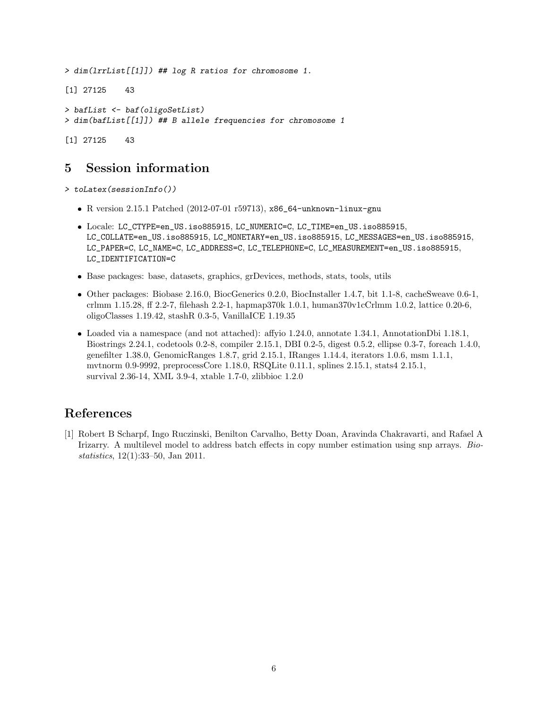> dim(lrrList[[1]]) ## log R ratios for chromosome 1. [1] 27125 43 > bafList <- baf(oligoSetList) > dim(bafList[[1]]) ## B allele frequencies for chromosome 1

[1] 27125 43

# 5 Session information

> toLatex(sessionInfo())

- R version 2.15.1 Patched (2012-07-01 r59713), x86\_64-unknown-linux-gnu
- Locale: LC\_CTYPE=en\_US.iso885915, LC\_NUMERIC=C, LC\_TIME=en\_US.iso885915, LC\_COLLATE=en\_US.iso885915, LC\_MONETARY=en\_US.iso885915, LC\_MESSAGES=en\_US.iso885915, LC\_PAPER=C, LC\_NAME=C, LC\_ADDRESS=C, LC\_TELEPHONE=C, LC\_MEASUREMENT=en\_US.iso885915, LC\_IDENTIFICATION=C
- Base packages: base, datasets, graphics, grDevices, methods, stats, tools, utils
- Other packages: Biobase 2.16.0, BiocGenerics 0.2.0, BiocInstaller 1.4.7, bit 1.1-8, cacheSweave 0.6-1, crlmm 1.15.28, ff 2.2-7, filehash 2.2-1, hapmap370k 1.0.1, human370v1cCrlmm 1.0.2, lattice 0.20-6, oligoClasses 1.19.42, stashR 0.3-5, VanillaICE 1.19.35
- Loaded via a namespace (and not attached): affyio 1.24.0, annotate 1.34.1, AnnotationDbi 1.18.1, Biostrings 2.24.1, codetools 0.2-8, compiler 2.15.1, DBI 0.2-5, digest 0.5.2, ellipse 0.3-7, foreach 1.4.0, genefilter 1.38.0, GenomicRanges 1.8.7, grid 2.15.1, IRanges 1.14.4, iterators 1.0.6, msm 1.1.1, mvtnorm 0.9-9992, preprocessCore 1.18.0, RSQLite 0.11.1, splines 2.15.1, stats4 2.15.1, survival 2.36-14, XML 3.9-4, xtable 1.7-0, zlibbioc 1.2.0

# References

[1] Robert B Scharpf, Ingo Ruczinski, Benilton Carvalho, Betty Doan, Aravinda Chakravarti, and Rafael A Irizarry. A multilevel model to address batch effects in copy number estimation using snp arrays. Biostatistics, 12(1):33–50, Jan 2011.